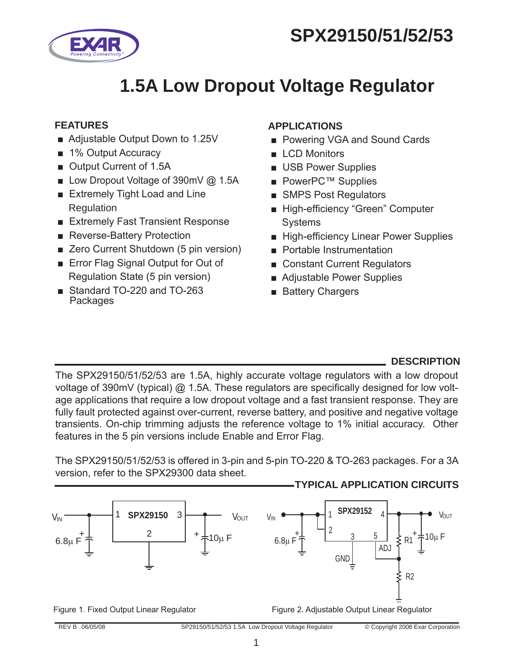# **SPX29150/51/52/53**



## **1.5A Low Dropout Voltage Regulator**

#### **FEATURES**

- Adjustable Output Down to 1.25V
- 1% Output Accuracy
- Output Current of 1.5A
- Low Dropout Voltage of 390mV @ 1.5A
- Extremely Tight Load and Line Regulation
- Extremely Fast Transient Response
- Reverse-Battery Protection
- Zero Current Shutdown (5 pin version)
- Error Flag Signal Output for Out of Regulation State (5 pin version)
- Standard TO-220 and TO-263 Packages

### **APPLICATIONS**

- Powering VGA and Sound Cards
- LCD Monitors
- USB Power Supplies
- PowerPC™ Supplies
- SMPS Post Requiators
- High-efficiency "Green" Computer Systems
- High-efficiency Linear Power Supplies
- Portable Instrumentation
- Constant Current Regulators
- Adjustable Power Supplies
- Battery Chargers

#### **DESCRIPTION**

The SPX29150/51/52/53 are 1.5A, highly accurate voltage regulators with a low dropout voltage of 390mV (typical) @ 1.5A. These regulators are specifically designed for low voltage applications that require a low dropout voltage and a fast transient response. They are fully fault protected against over-current, reverse battery, and positive and negative voltage transients. On-chip trimming adjusts the reference voltage to 1% initial accuracy. Other features in the 5 pin versions include Enable and Error Flag.

The SPX29150/51/52/53 is offered in 3-pin and 5-pin TO-220 & TO-263 packages. For a 3A version, refer to the SPX29300 data sheet.

#### **TYPICAL APPLICATION CIRCUITs**

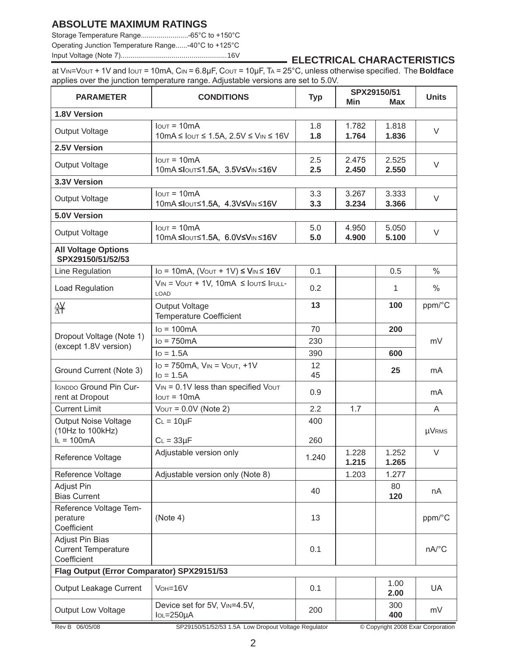#### **ABSOLUTE MAXIMUM RATINGS**

Storage Temperature Range........................-65°C to +150°C Operating Junction Temperature Range......-40°C to +125°C

### Input Voltage (Note 7)......................................................16V **ELECTRICAL CHARACTERISTICS**

at VIN=VOUT + 1V and IOUT = 10mA, CIN = 6.8µF, COUT = 10µF, TA = 25°C, unless otherwise specified. The **Boldface** applies over the junction temperature range. Adjustable versions are set to 5.0V.

| <b>PARAMETER</b>                                                                                                                 | <b>CONDITIONS</b>                                                                                        | <b>Typ</b>       | SPX29150/51<br>Min<br>Max |                | <b>Units</b> |  |
|----------------------------------------------------------------------------------------------------------------------------------|----------------------------------------------------------------------------------------------------------|------------------|---------------------------|----------------|--------------|--|
| 1.8V Version                                                                                                                     |                                                                                                          |                  |                           |                |              |  |
| Output Voltage                                                                                                                   | $I$ <sub>OUT</sub> = $10mA$<br>$10mA \leq$ $I$ out $\leq$ 1.5A, 2.5V $\leq$ $V$ <sub>IN</sub> $\leq$ 16V | 1.8<br>1.8       | 1.782<br>1.764            | 1.818<br>1.836 | V            |  |
| 2.5V Version                                                                                                                     |                                                                                                          |                  |                           |                |              |  |
| Output Voltage                                                                                                                   | $I$ <sub>OUT</sub> = $10mA$<br>10mA ≤IouT≤1.5A, 3.5V≤Vin ≤16V                                            | 2.5<br>$2.5\,$   | 2.475<br>2.450            | 2.525<br>2.550 | V            |  |
| 3.3V Version                                                                                                                     |                                                                                                          |                  |                           |                |              |  |
| Output Voltage                                                                                                                   | $I$ <sub>OUT</sub> = $10mA$<br>10mA ≤IouT≤1.5A, 4.3V≤VIN ≤16V                                            | 3.3<br>3.3       | 3.267<br>3.234            | 3.333<br>3.366 | V            |  |
| 5.0V Version                                                                                                                     |                                                                                                          |                  |                           |                |              |  |
| <b>Output Voltage</b>                                                                                                            | $I$ out = 10 $mA$<br>10mA ≤IouT≤1.5A, 6.0V≤Vin ≤16V                                                      | 5.0<br>5.0       | 4.950<br>4.900            | 5.050<br>5.100 | V            |  |
| <b>All Voltage Options</b><br>SPX29150/51/52/53                                                                                  |                                                                                                          |                  |                           |                |              |  |
| Line Regulation                                                                                                                  | $I_O = 10mA$ , $(VOUT + 1V) \leq VIN \leq 16V$                                                           | 0.1              |                           | 0.5            | $\%$         |  |
| Load Regulation                                                                                                                  | $V_{IN} = V_{OUT} + 1V, 10mA \leq I_{OUT} \leq I_{FULL}$<br>LOAD                                         | 0.2              |                           | 1              | $\%$         |  |
| 咎                                                                                                                                | <b>Output Voltage</b><br><b>Temperature Coefficient</b>                                                  | 13               |                           | 100            | ppm/°C       |  |
|                                                                                                                                  | $IO = 100mA$                                                                                             | 70               |                           | 200            |              |  |
| Dropout Voltage (Note 1)<br>(except 1.8V version)                                                                                | $lo = 750mA$                                                                                             | 230              |                           |                | mV           |  |
|                                                                                                                                  | $IO = 1.5A$                                                                                              | 390              |                           | 600            |              |  |
| Ground Current (Note 3)                                                                                                          | $Io = 750mA$ , $V_{IN} = V_{OUT} + 1V$<br>$I_0 = 1.5A$                                                   |                  |                           | 25             | mA           |  |
| <b>IGNDDO Ground Pin Cur-</b><br>$V_{IN} = 0.1V$ less than specified $V_{OUT}$<br>rent at Dropout<br>$I$ <sub>OUT</sub> = $10mA$ |                                                                                                          | 0.9              |                           |                | mA           |  |
| <b>Current Limit</b>                                                                                                             | $V$ <sub>OUT</sub> = $0.0V$ (Note 2)                                                                     | $2.2\phantom{0}$ | 1.7                       |                | A            |  |
| Output Noise Voltage<br>$C_L = 10 \mu F$<br>(10Hz to 100kHz)                                                                     |                                                                                                          | 400              |                           |                | <b>µVRMS</b> |  |
| $I_L = 100mA$                                                                                                                    | $C_L = 33 \mu F$                                                                                         | 260              |                           |                |              |  |
| Reference Voltage                                                                                                                | Adjustable version only                                                                                  |                  | 1.228<br>1.215            | 1.252<br>1.265 | $\vee$       |  |
| Reference Voltage                                                                                                                | Adjustable version only (Note 8)                                                                         |                  | 1.203                     | 1.277          |              |  |
| Adjust Pin<br><b>Bias Current</b>                                                                                                |                                                                                                          |                  |                           | 80<br>120      | nA           |  |
| Reference Voltage Tem-<br>perature<br>Coefficient                                                                                | (Note 4)                                                                                                 |                  |                           |                | ppm/°C       |  |
| Adjust Pin Bias<br><b>Current Temperature</b><br>Coefficient                                                                     |                                                                                                          | 0.1              |                           |                | nA/°C        |  |
| Flag Output (Error Comparator) SPX29151/53                                                                                       |                                                                                                          |                  |                           |                |              |  |
| Output Leakage Current                                                                                                           | $V$ OH=16 $V$                                                                                            |                  |                           | 1.00<br>2.00   | UA           |  |
| Device set for 5V, VIN=4.5V,<br><b>Output Low Voltage</b><br>$IOL = 250\mu A$                                                    |                                                                                                          |                  |                           | 300<br>400     | mV           |  |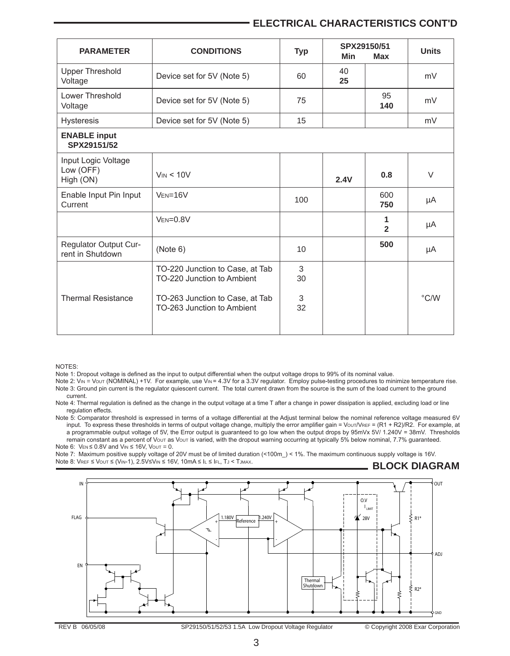#### **ELECTRICAL CHARACTERISTICS cont'd**

| <b>PARAMETER</b>                              | <b>CONDITIONS</b>                                             | <b>Typ</b> | SPX29150/51<br>Min<br>Max |                     | <b>Units</b>  |
|-----------------------------------------------|---------------------------------------------------------------|------------|---------------------------|---------------------|---------------|
| <b>Upper Threshold</b><br>Voltage             | Device set for 5V (Note 5)                                    | 60         |                           |                     | mV            |
| Lower Threshold<br>Voltage                    | Device set for 5V (Note 5)                                    | 75         |                           | 95<br>140           | mV            |
| <b>Hysteresis</b>                             | Device set for 5V (Note 5)                                    | 15         |                           |                     | mV            |
| <b>ENABLE input</b><br>SPX29151/52            |                                                               |            |                           |                     |               |
| Input Logic Voltage<br>Low (OFF)<br>High (ON) | $V_{IN}$ < 10V                                                | 2.4V       |                           | 0.8                 | $\vee$        |
| Enable Input Pin Input<br>Current             | $VEN=16V$<br>100                                              |            |                           | 600<br>750          | μA            |
|                                               | $VEN=0.8V$                                                    |            |                           | 1<br>$\overline{2}$ | μA            |
| Regulator Output Cur-<br>rent in Shutdown     | (Note 6)                                                      | 10         | 500                       |                     | μA            |
|                                               | TO-220 Junction to Case, at Tab<br>TO-220 Junction to Ambient | 3<br>30    |                           |                     |               |
| <b>Thermal Resistance</b>                     | TO-263 Junction to Case, at Tab<br>TO-263 Junction to Ambient | 3<br>32    |                           |                     | $\degree$ C/W |

NOTES:

Note 1: Dropout voltage is defined as the input to output differential when the output voltage drops to 99% of its nominal value.

Note 2: VIN = Vout (NOMINAL) +1V. For example, use VIN= 4.3V for a 3.3V regulator. Employ pulse-testing procedures to minimize temperature rise. Note 3: Ground pin current is the regulator quiescent current. The total current drawn from the source is the sum of the load current to the ground current.

Note 4: Thermal regulation is defined as the change in the output voltage at a time T after a change in power dissipation is applied, excluding load or line regulation effects.

Note 5: Comparator threshold is expressed in terms of a voltage differential at the Adjust terminal below the nominal reference voltage measured 6V input. To express these thresholds in terms of output voltage change, multiply the error amplifier gain = Vout/VREF = (R1 + R2)/R2. For example, at a programmable output voltage of 5V, the Error output is guaranteed to go low when the output drops by 95mVx 5V/ 1.240V = 38mV. Thresholds remain constant as a percent of Vout as Vout is varied, with the dropout warning occurring at typically 5% below nominal, 7.7% guaranteed. Note 6:  $V_{EN} \le 0.8V$  and  $V_{IN} \le 16V$ ,  $V_{OUT} = 0$ .

Note 7: Maximum positive supply voltage of 20V must be of limited duration (<100m\_) < 1%. The maximum continuous supply voltage is 16V. Note 8: VREF ≤ VOUT ≤ (VIN-1), 2.5V≤VIN ≤ 16V, 10mA ≤ IL ≤ IFL, TJ < TJMAX. **BLOCK DIAGRAM**

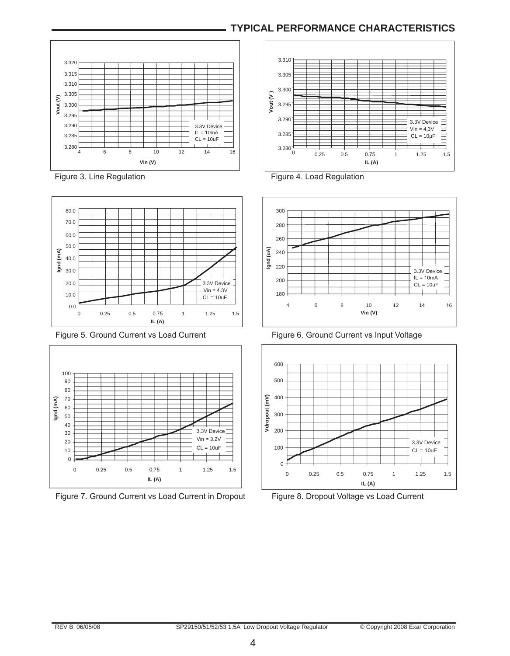#### **TYPICAL PERFORMANCE CHARACTERISTICS**







Figure 7. Ground Current vs Load Current in Dropout Figure 8. Dropout Voltage vs Load Current







Figure 5. Ground Current vs Load Current Figure 6. Ground Current vs Input Voltage

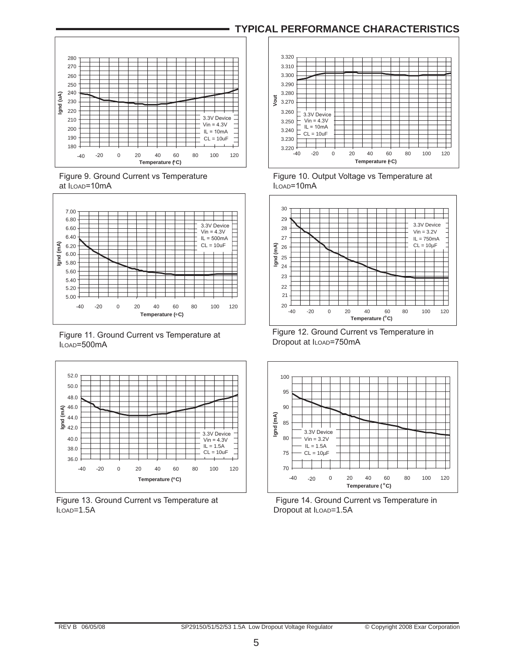#### **TYPICAL PERFORMANCE CHARACTERISTICS**



at I<sub>LOAD</sub>=10mA **ILOAD ILOAD** 



 Figure 11. Ground Current vs Temperature at ILOAD=500mA







Figure 9. Ground Current vs Temperature Figure 10. Output Voltage vs Temperature at



 Figure 12. Ground Current vs Temperature in Dropout at ILOAD=750mA



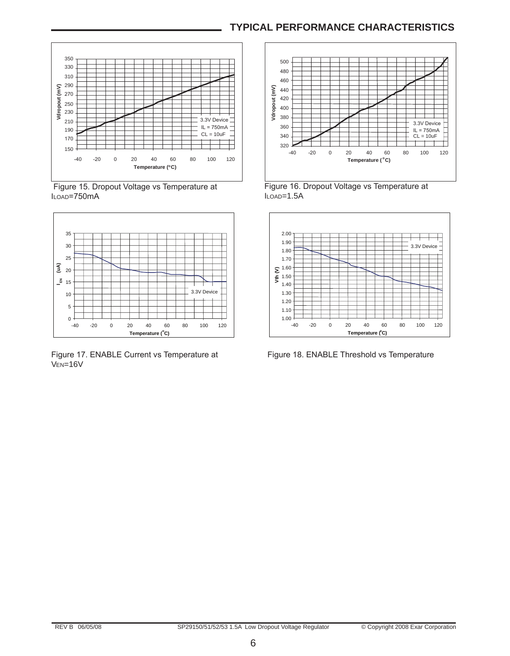#### **TYPICAL PERFORMANCE CHARACTERISTICS**



 Figure 15. Dropout Voltage vs Temperature at ILOAD=750mA



Figure 17. ENABLE Current vs Temperature at Figure 18. ENABLE Threshold vs Temperature VEN=16V



Figure 16. Dropout Voltage vs Temperature at ILOAD=1.5A

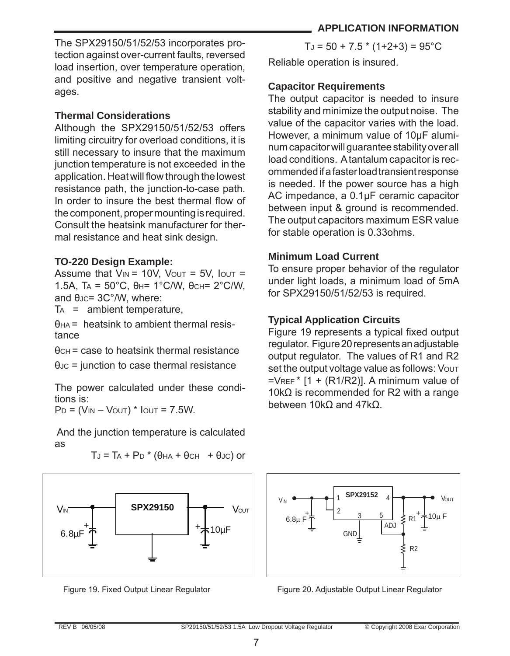The SPX29150/51/52/53 incorporates protection against over-current faults, reversed load insertion, over temperature operation, and positive and negative transient voltages.

#### **Thermal Considerations**

Although the SPX29150/51/52/53 offers limiting circuitry for overload conditions, it is still necessary to insure that the maximum junction temperature is not exceeded in the application. Heat will flow through the lowest resistance path, the junction-to-case path. In order to insure the best thermal flow of the component, proper mounting is required. Consult the heatsink manufacturer for thermal resistance and heat sink design.

#### **TO-220 Design Example:**

Assume that  $V_{IN} = 10V$ ,  $V_{OUT} = 5V$ ,  $I_{OUT} =$ 1.5A,  $TA = 50^{\circ}C$ ,  $θ_H = 1^{\circ}C/W$ ,  $θ_{CH} = 2^{\circ}C/W$ , and θ<sub>JC</sub>= 3C°/W, where:

 $TA =$  ambient temperature,

 $H =$  heatsink to ambient thermal resistance

θCH = case to heatsink thermal resistance

 $\theta$ Jc = junction to case thermal resistance

The power calculated under these conditions is:

 $P_D = (V_{IN} - V_{OUT})$  \*  $I_{OUT} = 7.5W$ .

 And the junction temperature is calculated as

 $T_J = T_A + P_D * (\theta_{HA} + \theta_{CH} + \theta_{JC})$  or



 $T_J = 50 + 7.5 * (1+2+3) = 95^{\circ}$ C

Reliable operation is insured.

#### **Capacitor Requirements**

The output capacitor is needed to insure stability and minimize the output noise. The value of the capacitor varies with the load. However, a minimum value of 10µF aluminum capacitor will guarantee stability over all load conditions. A tantalum capacitor is recommended if a faster load transient response is needed. If the power source has a high AC impedance, a 0.1µF ceramic capacitor between input & ground is recommended. The output capacitors maximum ESR value for stable operation is 0.33ohms.

#### **Minimum Load Current**

To ensure proper behavior of the regulator under light loads, a minimum load of 5mA for SPX29150/51/52/53 is required.

#### **Typical Application Circuits**

Figure 19 represents a typical fixed output regulator. Figure 20 represents an adjustable output regulator. The values of R1 and R2 set the output voltage value as follows: Vout  $=$ VREF<sup>\*</sup> [1 + (R1/R2)]. A minimum value of 10kΩ is recommended for R2 with a range between 10kΩ and 47kΩ.



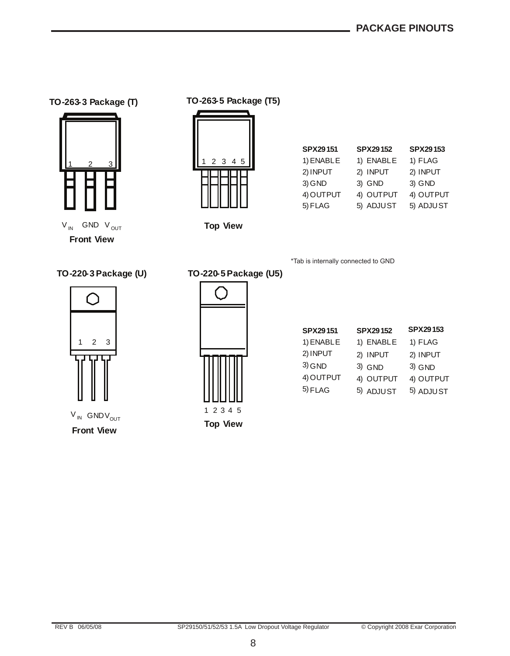#### **TO-263-3 Package (T)**



**Front View**

**TO-263-5 Package (T5)**



| <b>SPX29151</b> | <b>SPX29152</b> | SPX29153  |
|-----------------|-----------------|-----------|
| 1) ENABLE       | 1) ENABLE       | 1) FLAG   |
| 2) INPUT        | 2) INPUT        | 2) INPUT  |
| 3) GND          | 3) GND          | 3) GND    |
| 4) OUTPUT       | 4) OUTPUT       | 4) OUTPUT |
| 5) FLAG         | 5) ADJUST       | 5) ADJUST |

**Top View**

**TO-220-5Package (U5)**

\*Tab is internally connected to GND

#### **TO-220-3Package (U)**



**Front View**  $V_{IN}$  GND $V_{OUT}$ 



**Top View**

| SPX29151  | SPX29152  | SPX29153  |
|-----------|-----------|-----------|
| 1) ENABLE | 1) ENABLE | 1) FLAG   |
| 2) INPUT  | 2) INPUT  | 2) INPUT  |
| $3)$ GND  | 3) GND    | 3) GND    |
| 4) OUTPUT | 4) OUTPUT | 4) OUTPUT |
| 5) FLAG   | 5) ADJUST | 5) ADJUST |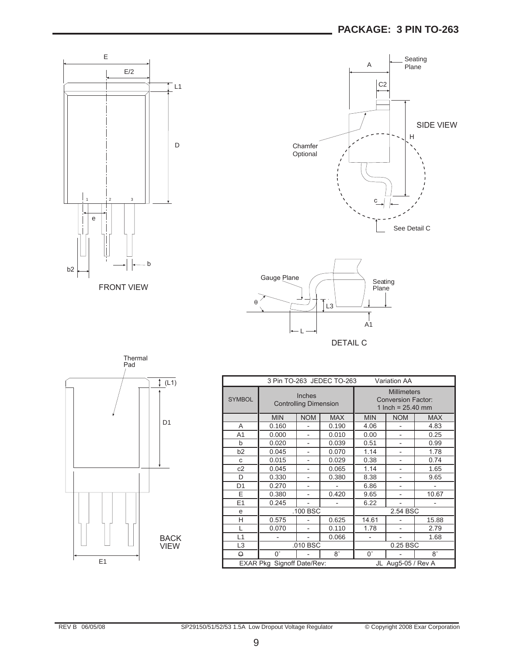





DETAIL C



| 3 Pin TO-263 JEDEC TO-263<br><b>Variation AA</b> |                                        |                |            |                                                                        |                          |            |
|--------------------------------------------------|----------------------------------------|----------------|------------|------------------------------------------------------------------------|--------------------------|------------|
| <b>SYMBOL</b>                                    | Inches<br><b>Controlling Dimension</b> |                |            | <b>Millimeters</b><br><b>Conversion Factor:</b><br>1 Inch = $25.40$ mm |                          |            |
|                                                  | <b>MIN</b>                             | <b>NOM</b>     | <b>MAX</b> | <b>MIN</b>                                                             | <b>NOM</b>               | <b>MAX</b> |
| A                                                | 0.160                                  |                | 0.190      | 4.06                                                                   |                          | 4.83       |
| A <sub>1</sub>                                   | 0.000                                  | $\overline{a}$ | 0.010      | 0.00                                                                   |                          | 0.25       |
| b                                                | 0.020                                  |                | 0.039      | 0.51                                                                   |                          | 0.99       |
| b <sub>2</sub>                                   | 0.045                                  |                | 0.070      | 1.14                                                                   |                          | 1.78       |
| C                                                | 0.015                                  | $\overline{a}$ | 0.029      | 0.38                                                                   | $\overline{\phantom{0}}$ | 0.74       |
| c2                                               | 0.045                                  |                | 0.065      | 1.14                                                                   |                          | 1.65       |
| D                                                | 0.330                                  |                | 0.380      | 8.38                                                                   |                          | 9.65       |
| D <sub>1</sub>                                   | 0.270                                  |                |            | 6.86                                                                   |                          |            |
| E                                                | 0.380                                  |                | 0.420      | 9.65                                                                   |                          | 10.67      |
| E1                                               | 0.245                                  |                |            | 6.22                                                                   |                          |            |
| e                                                | .100 BSC                               |                |            | 2.54 BSC                                                               |                          |            |
| Н                                                | 0.575                                  |                | 0.625      | 14.61                                                                  |                          | 15.88      |
| L                                                | 0.070                                  |                | 0.110      | 1.78                                                                   |                          | 2.79       |
| L1                                               |                                        |                | 0.066      |                                                                        |                          | 1.68       |
| L <sub>3</sub>                                   | .010 BSC                               |                |            | 0.25 BSC                                                               |                          |            |
| Θ                                                | $0^{\circ}$                            |                | $8^\circ$  | $0^{\circ}$                                                            |                          | $8^\circ$  |
| EXAR Pkg Signoff Date/Rev:<br>JL Aug5-05 / Rev A |                                        |                |            |                                                                        |                          |            |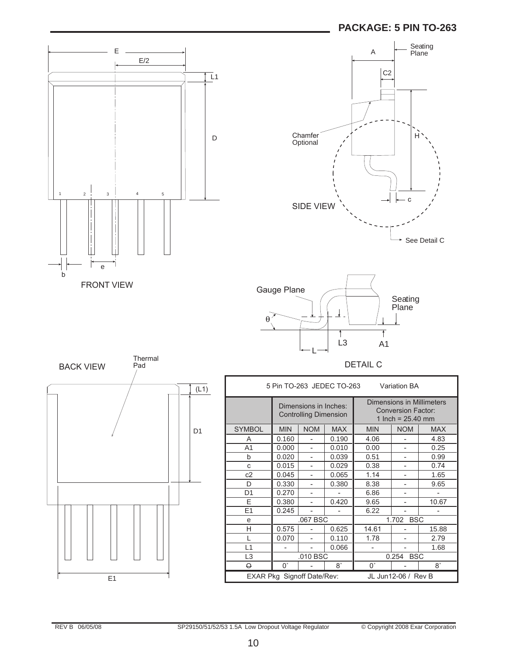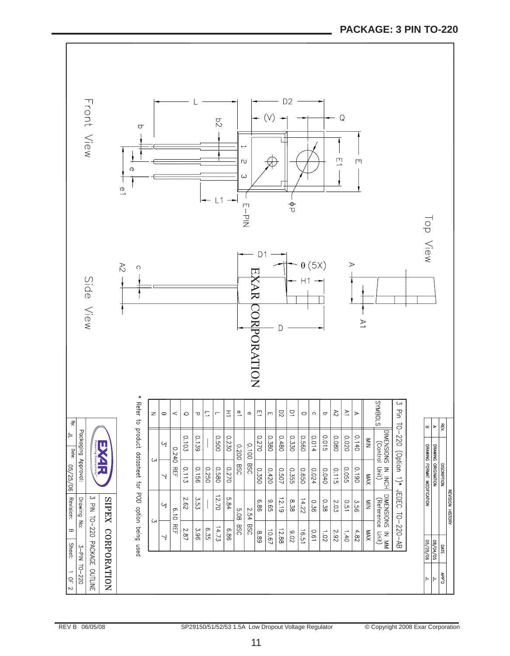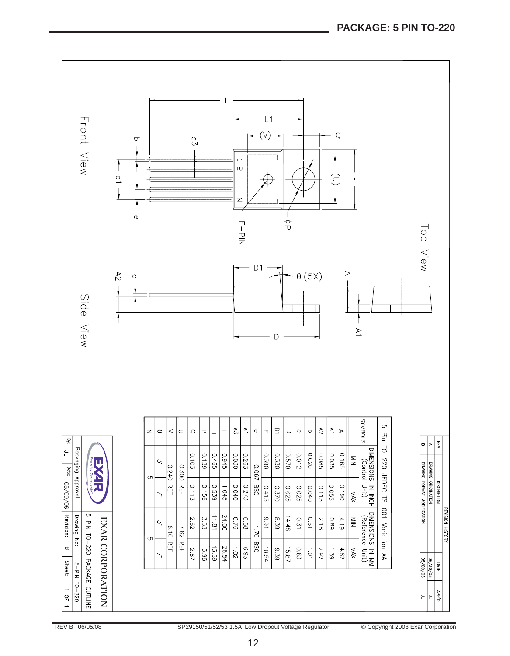